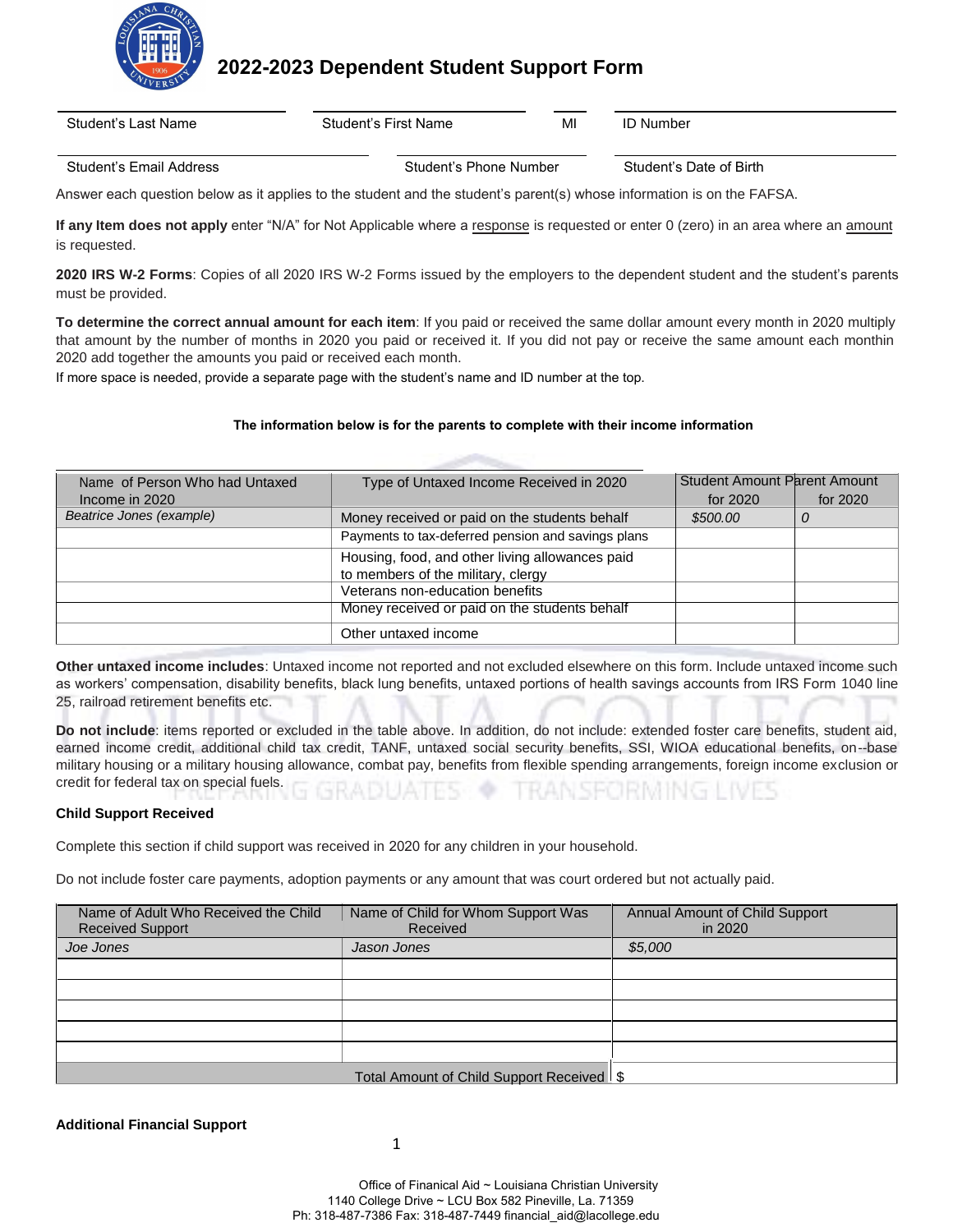

**2022-2023 Dependent Student Support Form**

Student's Last Name Student's First Name MI ID Number

Student's Email Address Student's Phone Number Student's Date of Birth

Answer each question below as it applies to the student and the student's parent(s) whose information is on the FAFSA.

**If any Item does not apply** enter "N/A" for Not Applicable where a response is requested or enter 0 (zero) in an area where an amount is requested.

**2020 IRS W-2 Forms**: Copies of all 2020 IRS W-2 Forms issued by the employers to the dependent student and the student's parents must be provided.

**To determine the correct annual amount for each item**: If you paid or received the same dollar amount every month in 2020 multiply that amount by the number of months in 2020 you paid or received it. If you did not pay or receive the same amount each monthin 2020 add together the amounts you paid or received each month.

If more space is needed, provide a separate page with the student's name and ID number at the top.

## **The information below is for the parents to complete with their income information**

| Name of Person Who had Untaxed | Type of Untaxed Income Received in 2020            | <b>Student Amount Parent Amount</b> |          |
|--------------------------------|----------------------------------------------------|-------------------------------------|----------|
| Income in 2020                 |                                                    | for 2020                            | for 2020 |
| Beatrice Jones (example)       | Money received or paid on the students behalf      | \$500.00                            | 0        |
|                                | Payments to tax-deferred pension and savings plans |                                     |          |
|                                | Housing, food, and other living allowances paid    |                                     |          |
|                                | to members of the military, clergy                 |                                     |          |
|                                | Veterans non-education benefits                    |                                     |          |
|                                | Money received or paid on the students behalf      |                                     |          |
|                                | Other untaxed income                               |                                     |          |

**Other untaxed income includes**: Untaxed income not reported and not excluded elsewhere on this form. Include untaxed income such as workers' compensation, disability benefits, black lung benefits, untaxed portions of health savings accounts from IRS Form 1040 line 25, railroad retirement benefits etc.

**Do not include**: items reported or excluded in the table above. In addition, do not include: extended foster care benefits, student aid, earned income credit, additional child tax credit, TANF, untaxed social security benefits, SSI, WIOA educational benefits, on--base military housing or a military housing allowance, combat pay, benefits from flexible spending arrangements, foreign income exclusion or credit for federal tax on special fuels.

## **Child Support Received**

Complete this section if child support was received in 2020 for any children in your household.

Do not include foster care payments, adoption payments or any amount that was court ordered but not actually paid.

| Name of Adult Who Received the Child<br><b>Received Support</b> | Name of Child for Whom Support Was<br>Received | <b>Annual Amount of Child Support</b><br>in 2020 |
|-----------------------------------------------------------------|------------------------------------------------|--------------------------------------------------|
| Joe Jones                                                       | Jason Jones                                    | \$5,000                                          |
|                                                                 |                                                |                                                  |
|                                                                 |                                                |                                                  |
|                                                                 |                                                |                                                  |
|                                                                 |                                                |                                                  |
|                                                                 |                                                |                                                  |
|                                                                 | Total Amount of Child Support Received \$      |                                                  |

**Additional Financial Support**